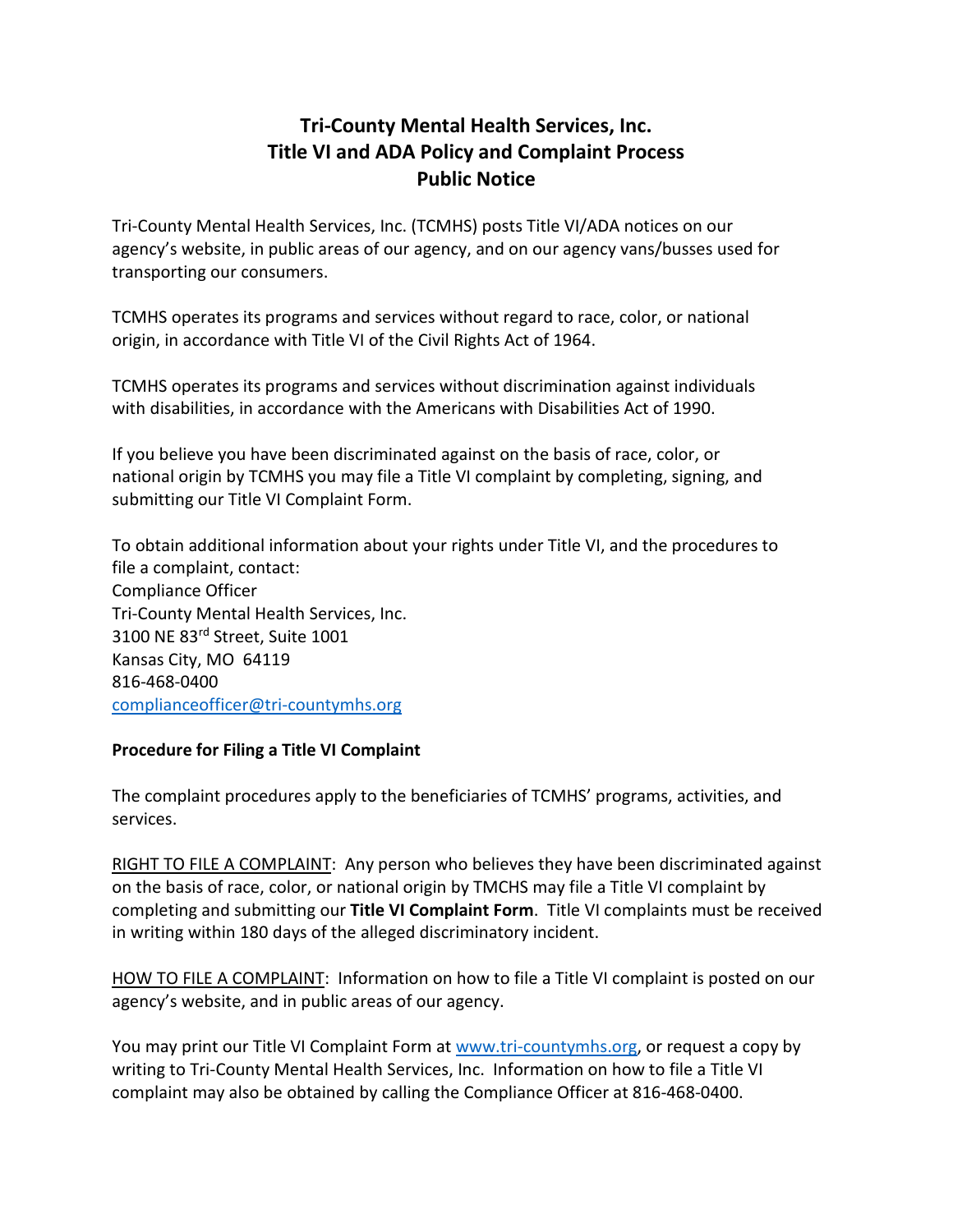## **Tri-County Mental Health Services, Inc. Title VI and ADA Policy and Complaint Process Public Notice**

Tri-County Mental Health Services, Inc. (TCMHS) posts Title VI/ADA notices on our agency's website, in public areas of our agency, and on our agency vans/busses used for transporting our consumers.

TCMHS operates its programs and services without regard to race, color, or national origin, in accordance with Title VI of the Civil Rights Act of 1964.

TCMHS operates its programs and services without discrimination against individuals with disabilities, in accordance with the Americans with Disabilities Act of 1990.

If you believe you have been discriminated against on the basis of race, color, or national origin by TCMHS you may file a Title VI complaint by completing, signing, and submitting our Title VI Complaint Form.

To obtain additional information about your rights under Title VI, and the procedures to file a complaint, contact: Compliance Officer Tri-County Mental Health Services, Inc. 3100 NE 83rd Street, Suite 1001 Kansas City, MO 64119 816-468-0400 [complianceofficer@tri-countymhs.org](mailto:complianceofficer@tri-countymhs.org)

## **Procedure for Filing a Title VI Complaint**

The complaint procedures apply to the beneficiaries of TCMHS' programs, activities, and services.

RIGHT TO FILE A COMPLAINT: Any person who believes they have been discriminated against on the basis of race, color, or national origin by TMCHS may file a Title VI complaint by completing and submitting our **Title VI Complaint Form**. Title VI complaints must be received in writing within 180 days of the alleged discriminatory incident.

HOW TO FILE A COMPLAINT: Information on how to file a Title VI complaint is posted on our agency's website, and in public areas of our agency.

You may print our Title VI Complaint Form at [www.tri-countymhs.org,](http://www.tri-countymhs.org/) or request a copy by writing to Tri-County Mental Health Services, Inc. Information on how to file a Title VI complaint may also be obtained by calling the Compliance Officer at 816-468-0400.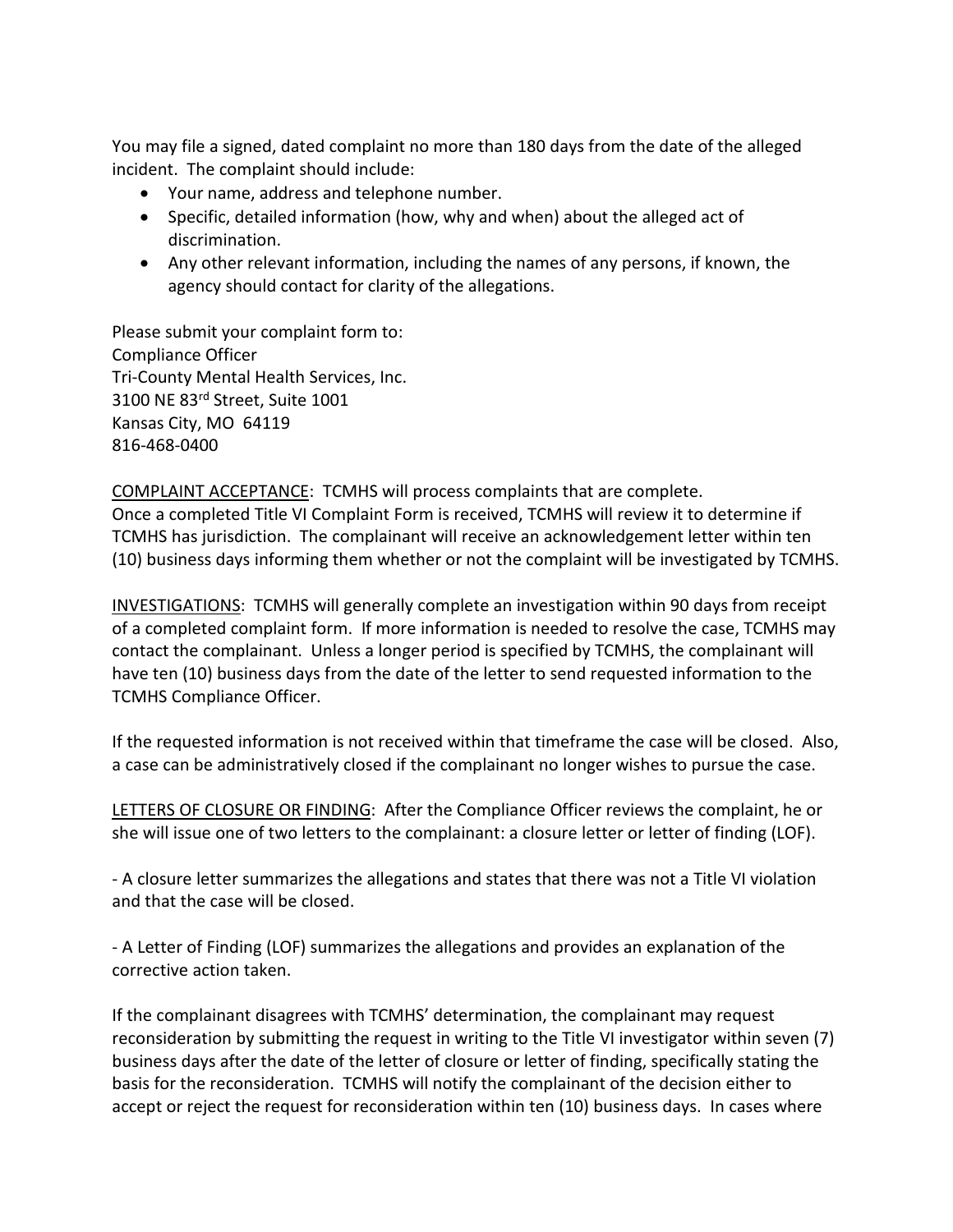You may file a signed, dated complaint no more than 180 days from the date of the alleged incident. The complaint should include:

- Your name, address and telephone number.
- Specific, detailed information (how, why and when) about the alleged act of discrimination.
- Any other relevant information, including the names of any persons, if known, the agency should contact for clarity of the allegations.

Please submit your complaint form to: Compliance Officer Tri-County Mental Health Services, Inc. 3100 NE 83rd Street, Suite 1001 Kansas City, MO 64119 816-468-0400

COMPLAINT ACCEPTANCE: TCMHS will process complaints that are complete. Once a completed Title VI Complaint Form is received, TCMHS will review it to determine if TCMHS has jurisdiction. The complainant will receive an acknowledgement letter within ten (10) business days informing them whether or not the complaint will be investigated by TCMHS.

INVESTIGATIONS: TCMHS will generally complete an investigation within 90 days from receipt of a completed complaint form. If more information is needed to resolve the case, TCMHS may contact the complainant. Unless a longer period is specified by TCMHS, the complainant will have ten (10) business days from the date of the letter to send requested information to the TCMHS Compliance Officer.

If the requested information is not received within that timeframe the case will be closed. Also, a case can be administratively closed if the complainant no longer wishes to pursue the case.

LETTERS OF CLOSURE OR FINDING: After the Compliance Officer reviews the complaint, he or she will issue one of two letters to the complainant: a closure letter or letter of finding (LOF).

- A closure letter summarizes the allegations and states that there was not a Title VI violation and that the case will be closed.

- A Letter of Finding (LOF) summarizes the allegations and provides an explanation of the corrective action taken.

If the complainant disagrees with TCMHS' determination, the complainant may request reconsideration by submitting the request in writing to the Title VI investigator within seven (7) business days after the date of the letter of closure or letter of finding, specifically stating the basis for the reconsideration. TCMHS will notify the complainant of the decision either to accept or reject the request for reconsideration within ten (10) business days. In cases where